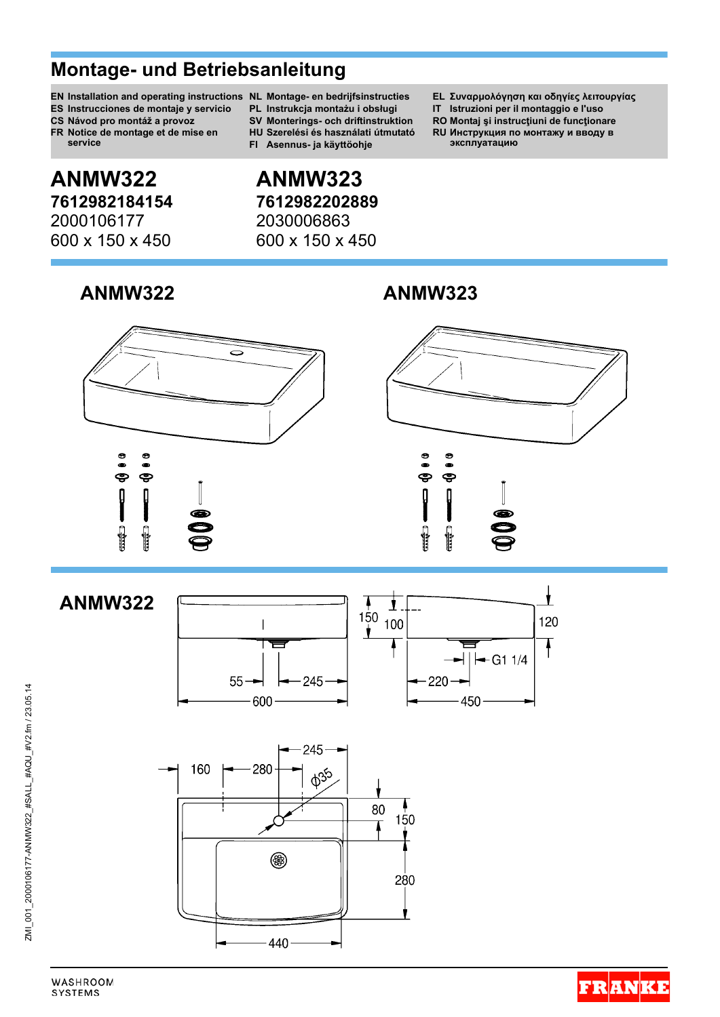# **Montage- und Betriebsanleitung**

- **EN Installation and operating instructions NL Montage- en bedrijfsinstructies EL Συναρμολόγηση και οδηγίες λειτουργίας**
- 
- 
- **FR Notice de montage et de mise en service**

# **ANMW322 ANMW323 7612982184154 7612982202889** 2000106177 2030006863

# **ANMW322 ANMW323**



- 
- 
- 
- **FI Asennus- ja käyttöohje эксплуатацию**

# 600 x 150 x 450 600 x 150 x 450

- 
- **ES Instrucciones de montaje y servicio PL Instrukcja montażu i obsługi IT Istruzioni per il montaggio e l'uso**
- **CS Návod pro montáž a provoz SV Monterings- och driftinstruktion RO Montaj şi instrucţiuni de funcţionare**
	- **HU Szerelési és használati útmutató RU Инструкция по монтажу и вводу в**





Ł **ANMW322**150 120 100 Ì  $-$  G1 1/4  $55 -$ 245  $-220 600$ 450



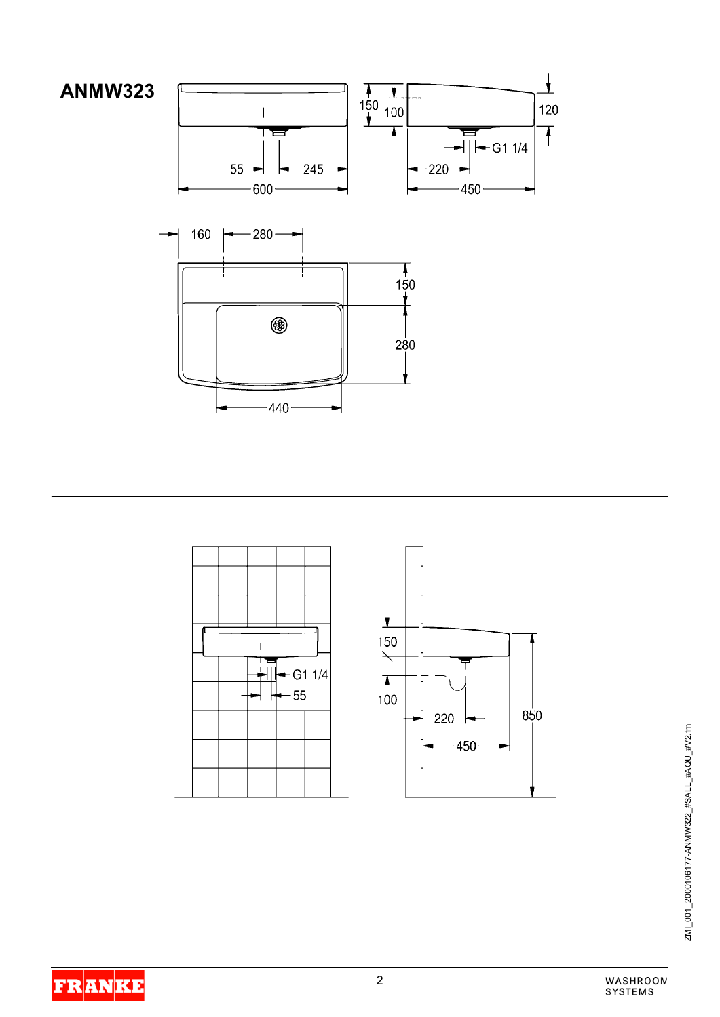







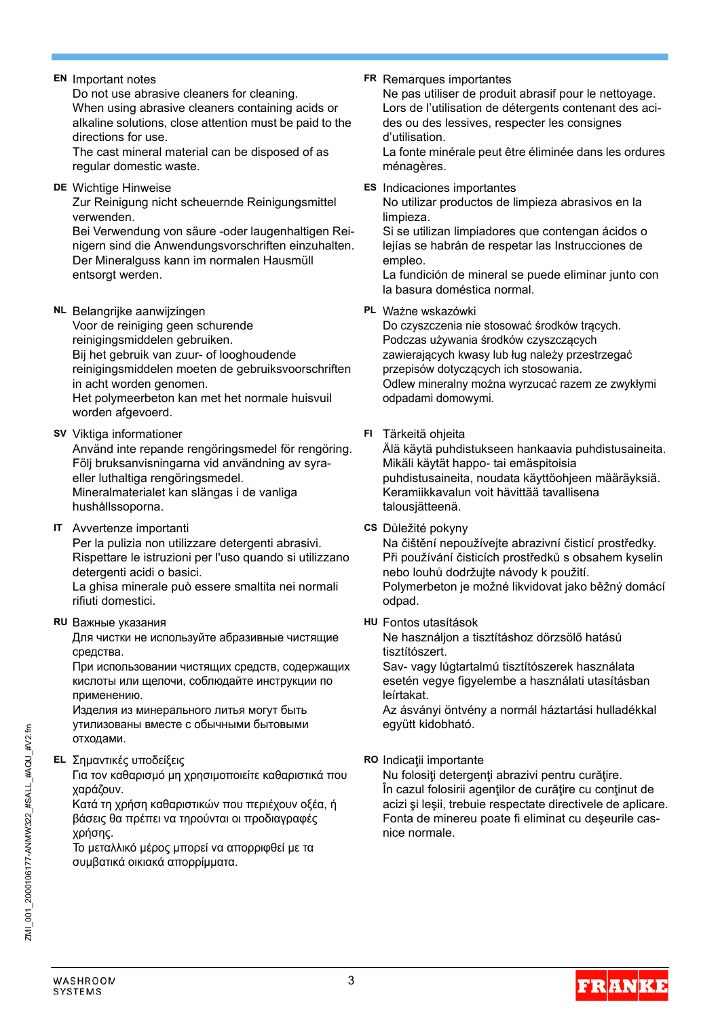Do not use abrasive cleaners for cleaning. When using abrasive cleaners containing acids or alkaline solutions, close attention must be paid to the directions for use.

The cast mineral material can be disposed of as regular domestic waste.

**DE** Wichtige Hinweise **ES** Indicaciones importantes Zur Reinigung nicht scheuernde Reinigungsmittel verwenden.

Bei Verwendung von säure -oder laugenhaltigen Reinigern sind die Anwendungsvorschriften einzuhalten. Der Mineralguss kann im normalen Hausmüll entsorgt werden.

**NL** Belangrijke aanwijzingen **PL** Ważne wskazówki

Voor de reiniging geen schurende reinigingsmiddelen gebruiken. Bij het gebruik van zuur- of looghoudende reinigingsmiddelen moeten de gebruiksvoorschriften in acht worden genomen. Het polymeerbeton kan met het normale huisvuil worden afgevoerd.

**SV** Viktiga informationer **FI** Tärkeitä ohjeita

Använd inte repande rengöringsmedel för rengöring. Följ bruksanvisningarna vid användning av syraeller luthaltiga rengöringsmedel. Mineralmaterialet kan slängas i de vanliga hushållssoporna.

**IT** Avvertenze importanti **CS** Důležité pokyny Per la pulizia non utilizzare detergenti abrasivi. Rispettare le istruzioni per l'uso quando si utilizzano detergenti acidi o basici.

La ghisa minerale può essere smaltita nei normali rifiuti domestici.

## **RU** Важные указания **HU** Fontos utasítások

Для чистки не используйте абразивные чистящие средства.

При использовании чистящих средств, содержащих кислоты или щелочи, соблюдайте инструкции по применению.

Изделия из минерального литья могут быть утилизованы вместе с обычными бытовыми отходами.

## **EL** Σημαντικές υποδείξεις **RO** Indicatii importante

Για τον καθαρισμό μη χρησιμοποιείτε καθαριστικά που χαράζουν.

Κατά τη χρήση καθαριστικών που περιέχουν οξέα, ή βάσεις θα πρέπει να τηρούνται οι προδιαγραφές χρήσης.

Το μεταλλικό μέρος μπορεί να απορριφθεί με τα συμβατικά οικιακά απορρίμματα.

**EN** Important notes **FR** Remarques importantes

Ne pas utiliser de produit abrasif pour le nettoyage. Lors de l'utilisation de détergents contenant des acides ou des lessives, respecter les consignes d'utilisation.

La fonte minérale peut être éliminée dans les ordures ménagères.

No utilizar productos de limpieza abrasivos en la limpieza.

Si se utilizan limpiadores que contengan ácidos o lejías se habrán de respetar las Instrucciones de empleo.

La fundición de mineral se puede eliminar junto con la basura doméstica normal.

Do czyszczenia nie stosować środków trących. Podczas używania środków czyszczących zawierających kwasy lub ług należy przestrzegać przepisów dotyczących ich stosowania. Odlew mineralny można wyrzucać razem ze zwykłymi odpadami domowymi.

Älä käytä puhdistukseen hankaavia puhdistusaineita. Mikäli käytät happo- tai emäspitoisia puhdistusaineita, noudata käyttöohjeen määräyksiä. Keramiikkavalun voit hävittää tavallisena talousjätteenä.

Na čištění nepoužívejte abrazivní čisticí prostředky. Při používání čisticích prostředků s obsahem kyselin nebo louhů dodržujte návody k použití. Polymerbeton je možné likvidovat jako běžný domácí odpad.

Ne használjon a tisztításhoz dörzsölő hatású tisztítószert.

Sav- vagy lúgtartalmú tisztítószerek használata esetén vegye figyelembe a használati utasításban leírtakat.

Az ásványi öntvény a normál háztartási hulladékkal együtt kidobható.

Nu folositi detergenti abrazivi pentru curățire. În cazul folosirii agentilor de curătire cu continut de acizi şi leşii, trebuie respectate directivele de aplicare. Fonta de minereu poate fi eliminat cu deşeurile casnice normale.

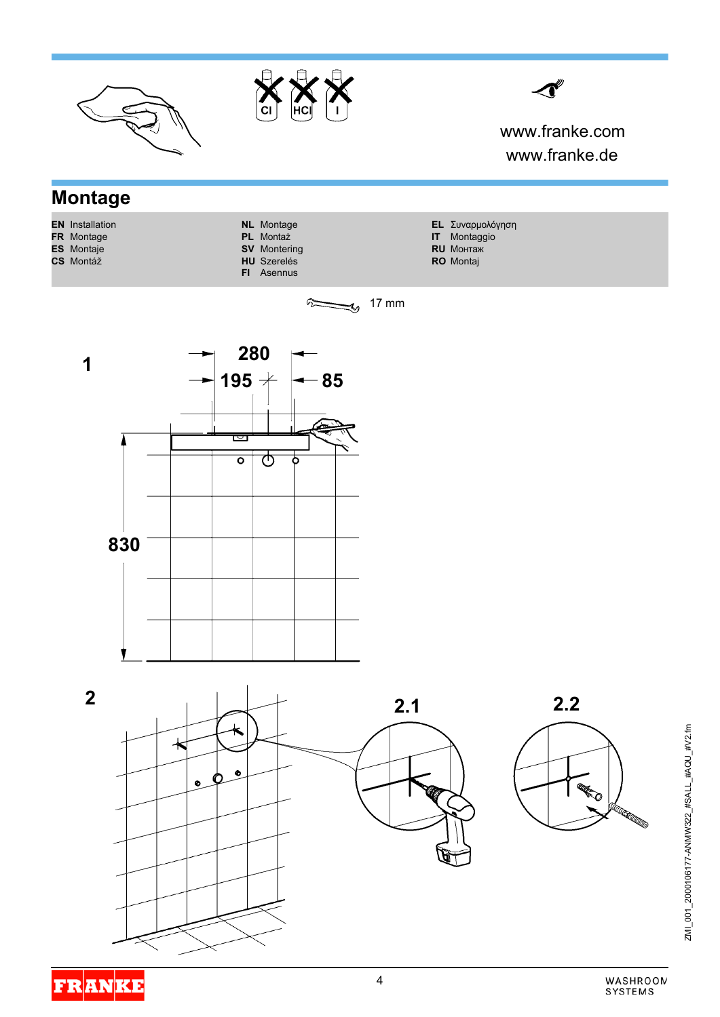

ZMI\_001\_2000106177-ANMV922\_#SALL\_#AQU\_#V2.fm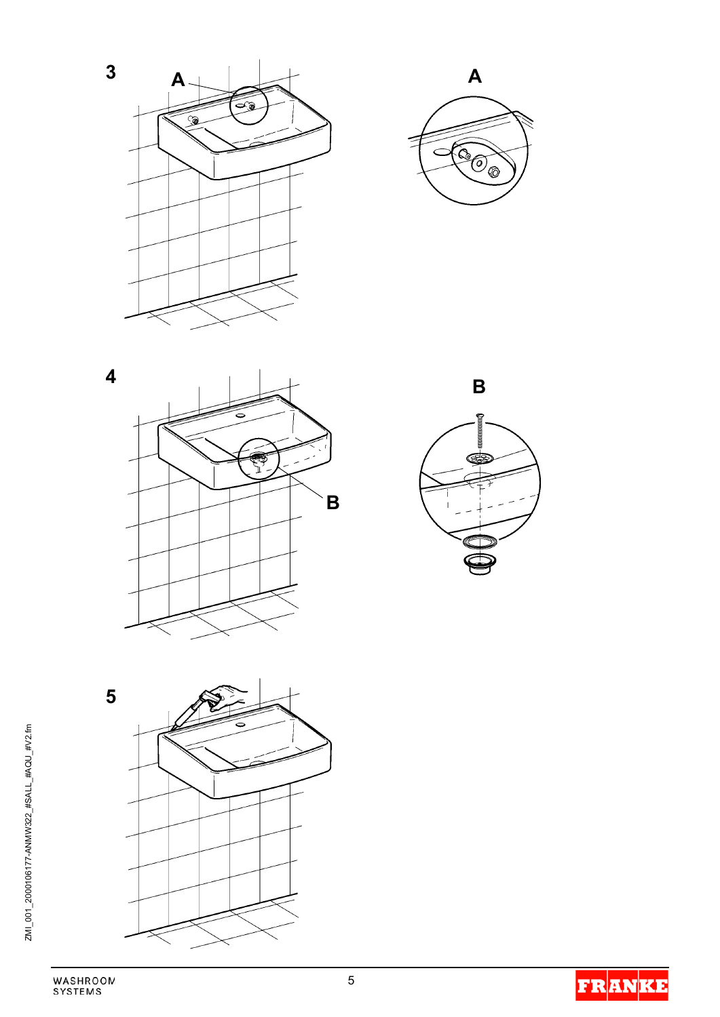









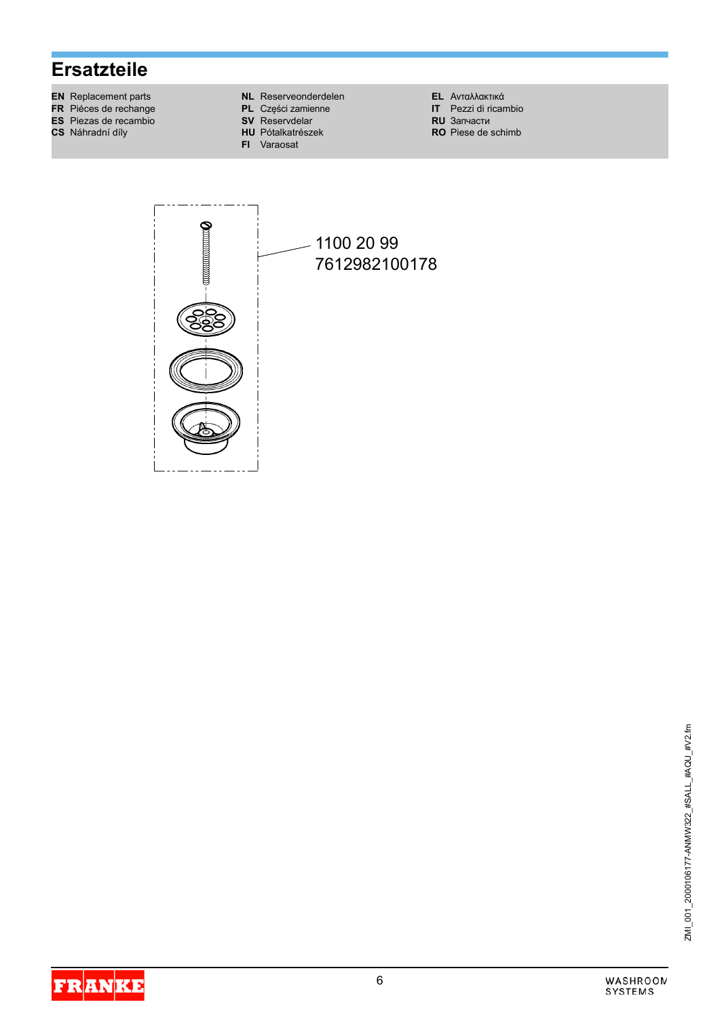# **Ersatzteile**

- **EN** Replacement parts
- FR Piéces de rechange
- ES Piezas de recambio
- CS Náhradní díly
- **NL** Reserveonderdelen
- PL Części zamienne
- **SV** Reservdelar **HU** Pótalkatrészek
- FI Varaosat

**EL** Ανταλλακτικά

- IT Pezzi di ricambio<br>RU 3anyactu
- RO Piese de schimb



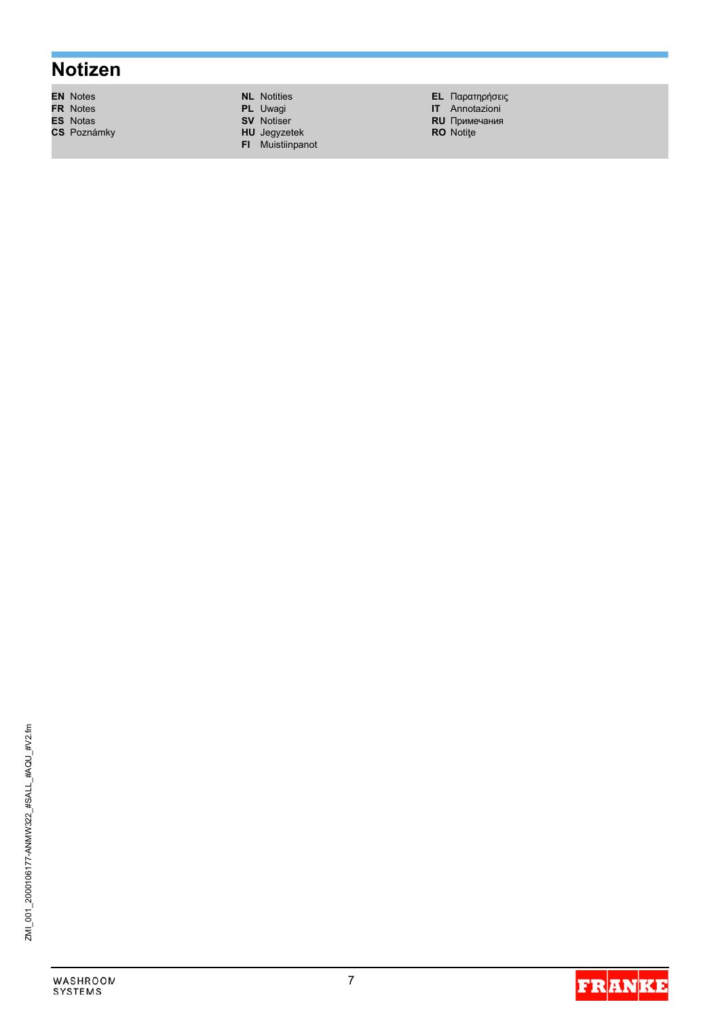# **Notizen**

- EN Notes<br>FR Notes<br>ES Notas
- CS Poznámky
	-

**NL** Notities

- PL Uwagi<br>SV Notiser
- 
- **HU** Jegyzetek<br>**FI** Muistiinpanot

**EL** Παρατηρήσεις<br> **IT** Annotazioni<br> **RU** Примечания

- 
- RO Notite